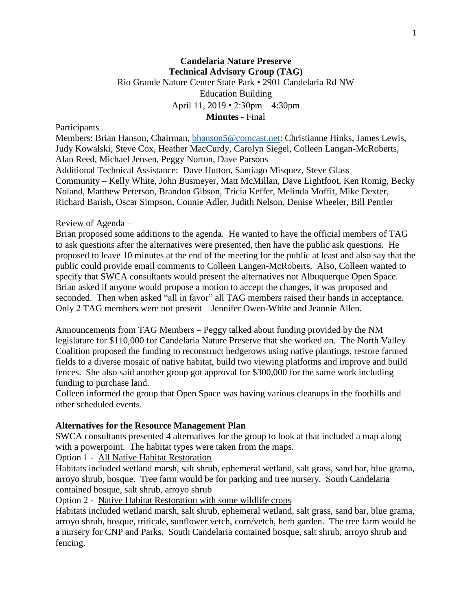## **Candelaria Nature Preserve Technical Advisory Group (TAG)** Rio Grande Nature Center State Park • 2901 Candelaria Rd NW Education Building April 11, 2019 • 2:30pm – 4:30pm **Minutes -** Final

#### Participants

Members: Brian Hanson, Chairman, [bhanson5@comcast.net:](mailto:bhanson5@comcast.net) Christianne Hinks, James Lewis, Judy Kowalski, Steve Cox, Heather MacCurdy, Carolyn Siegel, Colleen Langan-McRoberts, Alan Reed, Michael Jensen, Peggy Norton, Dave Parsons Additional Technical Assistance: Dave Hutton, Santiago Misquez, Steve Glass Community – Kelly White, John Busmeyer, Matt McMillan, Dave Lightfoot, Ken Romig, Becky Noland, Matthew Peterson, Brandon Gibson, Tricia Keffer, Melinda Moffit, Mike Dexter, Richard Barish, Oscar Simpson, Connie Adler, Judith Nelson, Denise Wheeler, Bill Pentler

### Review of Agenda –

Brian proposed some additions to the agenda. He wanted to have the official members of TAG to ask questions after the alternatives were presented, then have the public ask questions. He proposed to leave 10 minutes at the end of the meeting for the public at least and also say that the public could provide email comments to Colleen Langen-McRoberts. Also, Colleen wanted to specify that SWCA consultants would present the alternatives not Albuquerque Open Space. Brian asked if anyone would propose a motion to accept the changes, it was proposed and seconded. Then when asked "all in favor" all TAG members raised their hands in acceptance. Only 2 TAG members were not present – Jennifer Owen-White and Jeannie Allen.

Announcements from TAG Members – Peggy talked about funding provided by the NM legislature for \$110,000 for Candelaria Nature Preserve that she worked on. The North Valley Coalition proposed the funding to reconstruct hedgerows using native plantings, restore farmed fields to a diverse mosaic of native habitat, build two viewing platforms and improve and build fences. She also said another group got approval for \$300,000 for the same work including funding to purchase land.

Colleen informed the group that Open Space was having various cleanups in the foothills and other scheduled events.

### **Alternatives for the Resource Management Plan**

SWCA consultants presented 4 alternatives for the group to look at that included a map along with a powerpoint. The habitat types were taken from the maps.

Option 1 - All Native Habitat Restoration

Habitats included wetland marsh, salt shrub, ephemeral wetland, salt grass, sand bar, blue grama, arroyo shrub, bosque. Tree farm would be for parking and tree nursery. South Candelaria contained bosque, salt shrub, arroyo shrub

Option 2 - Native Habitat Restoration with some wildlife crops

Habitats included wetland marsh, salt shrub, ephemeral wetland, salt grass, sand bar, blue grama, arroyo shrub, bosque, triticale, sunflower vetch, corn/vetch, herb garden. The tree farm would be a nursery for CNP and Parks. South Candelaria contained bosque, salt shrub, arroyo shrub and fencing.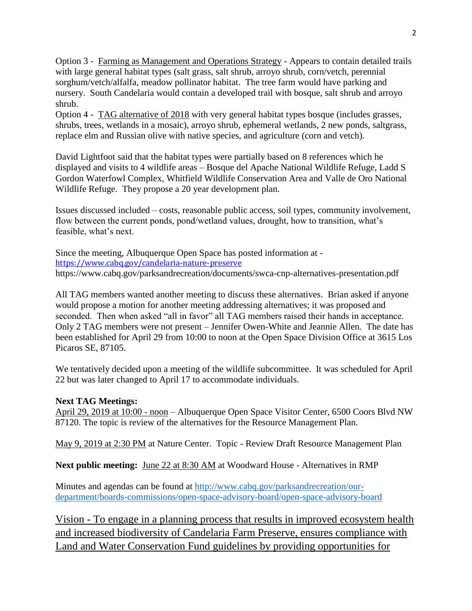Option 3 - Farming as Management and Operations Strategy - Appears to contain detailed trails with large general habitat types (salt grass, salt shrub, arroyo shrub, corn/vetch, perennial sorghum/vetch/alfalfa, meadow pollinator habitat. The tree farm would have parking and nursery. South Candelaria would contain a developed trail with bosque, salt shrub and arroyo shrub.

Option 4 - TAG alternative of 2018 with very general habitat types bosque (includes grasses, shrubs, trees, wetlands in a mosaic), arroyo shrub, ephemeral wetlands, 2 new ponds, saltgrass, replace elm and Russian olive with native species, and agriculture (corn and vetch).

David Lightfoot said that the habitat types were partially based on 8 references which he displayed and visits to 4 wildlife areas – Bosque del Apache National Wildlife Refuge, Ladd S Gordon Waterfowl Complex, Whitfield Wildlife Conservation Area and Valle de Oro National Wildlife Refuge. They propose a 20 year development plan.

Issues discussed included – costs, reasonable public access, soil types, community involvement, flow between the current ponds, pond/wetland values, drought, how to transition, what's feasible, what's next.

Since the meeting, Albuquerque Open Space has posted information at <https://www.cabq.gov/candelaria-nature-preserve> https://www.cabq.gov/parksandrecreation/documents/swca-cnp-alternatives-presentation.pdf

All TAG members wanted another meeting to discuss these alternatives. Brian asked if anyone would propose a motion for another meeting addressing alternatives; it was proposed and seconded. Then when asked "all in favor" all TAG members raised their hands in acceptance. Only 2 TAG members were not present – Jennifer Owen-White and Jeannie Allen. The date has been established for April 29 from 10:00 to noon at the Open Space Division Office at 3615 Los Picaros SE, 87105.

We tentatively decided upon a meeting of the wildlife subcommittee. It was scheduled for April 22 but was later changed to April 17 to accommodate individuals.

# **Next TAG Meetings:**

April 29, 2019 at 10:00 - noon – Albuquerque Open Space Visitor Center, 6500 Coors Blvd NW 87120. The topic is review of the alternatives for the Resource Management Plan.

May 9, 2019 at 2:30 PM at Nature Center. Topic - Review Draft Resource Management Plan

**Next public meeting:** June 22 at 8:30 AM at Woodward House - Alternatives in RMP

Minutes and agendas can be found at [http://www.cabq.gov/parksandrecreation/our](http://www.cabq.gov/parksandrecreation/our-department/boards-commissions/open-space-advisory-board/open-space-advisory-board)[department/boards-commissions/open-space-advisory-board/open-space-advisory-board](http://www.cabq.gov/parksandrecreation/our-department/boards-commissions/open-space-advisory-board/open-space-advisory-board)

Vision - To engage in a planning process that results in improved ecosystem health and increased biodiversity of Candelaria Farm Preserve, ensures compliance with Land and Water Conservation Fund guidelines by providing opportunities for